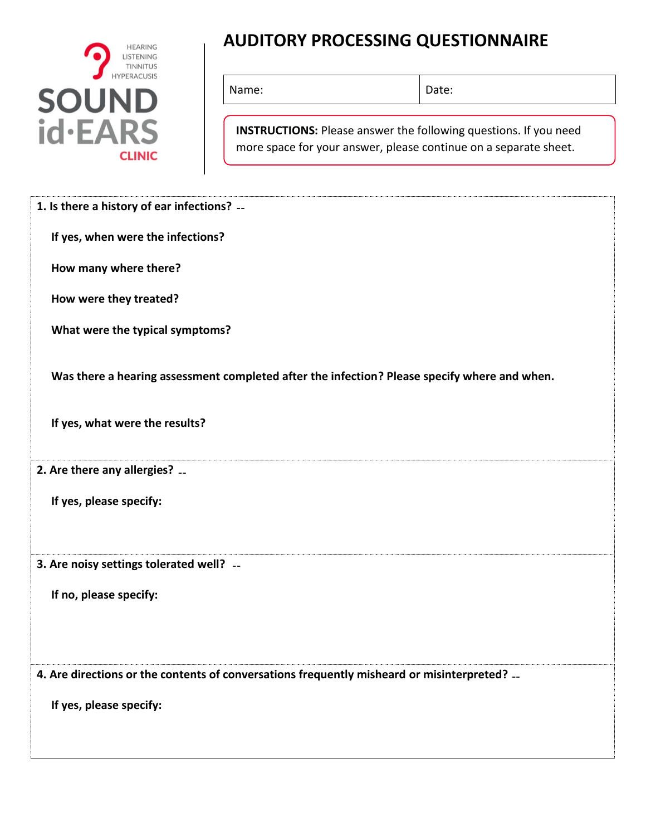

## **AUDITORY PROCESSING QUESTIONNAIRE**

Name: Date:

**INSTRUCTIONS:** Please answer the following questions. If you need more space for your answer, please continue on a separate sheet.

| 1. Is there a history of ear infections? --                                                  |                                                                                              |
|----------------------------------------------------------------------------------------------|----------------------------------------------------------------------------------------------|
| If yes, when were the infections?                                                            |                                                                                              |
| How many where there?                                                                        |                                                                                              |
| How were they treated?                                                                       |                                                                                              |
| What were the typical symptoms?                                                              |                                                                                              |
|                                                                                              | Was there a hearing assessment completed after the infection? Please specify where and when. |
| If yes, what were the results?                                                               |                                                                                              |
| 2. Are there any allergies?                                                                  |                                                                                              |
| If yes, please specify:                                                                      |                                                                                              |
| 3. Are noisy settings tolerated well? --                                                     |                                                                                              |
| If no, please specify:                                                                       |                                                                                              |
| 4. Are directions or the contents of conversations frequently misheard or misinterpreted? -- |                                                                                              |
| If yes, please specify:                                                                      |                                                                                              |